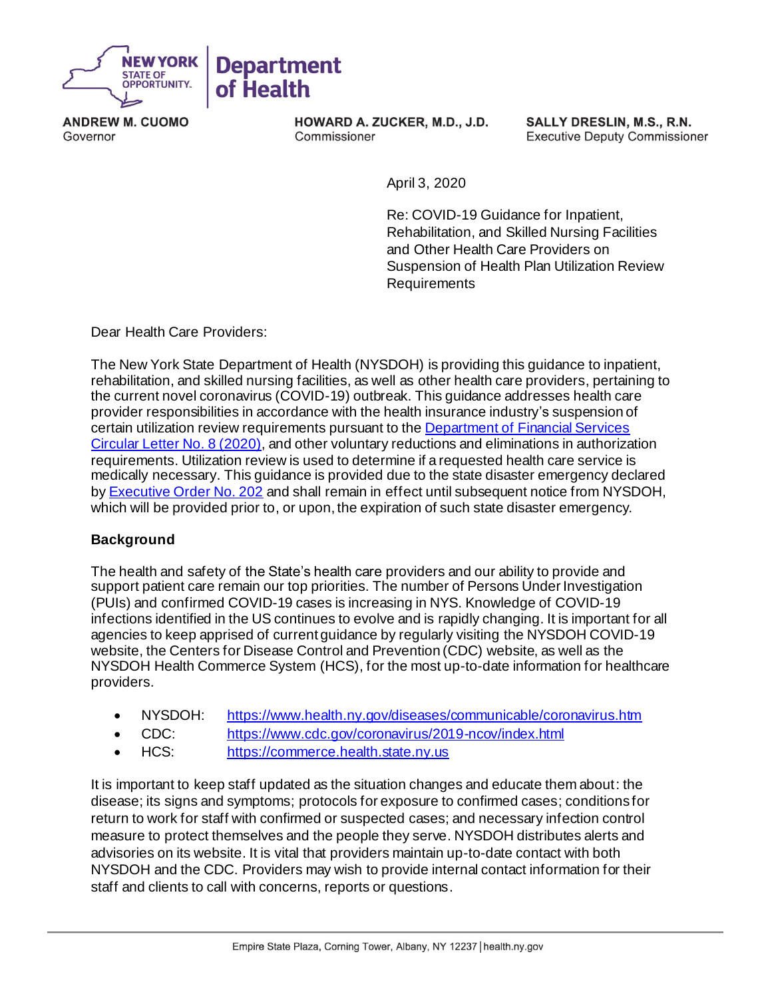

**ANDREW M. CUOMO** Governor

HOWARD A. ZUCKER, M.D., J.D. Commissioner

SALLY DRESLIN, M.S., R.N. **Executive Deputy Commissioner** 

April 3, 2020

Re: COVID-19 Guidance for Inpatient, Rehabilitation, and Skilled Nursing Facilities and Other Health Care Providers on Suspension of Health Plan Utilization Review Requirements

Dear Health Care Providers:

The New York State Department of Health (NYSDOH) is providing this guidance to inpatient, rehabilitation, and skilled nursing facilities, as well as other health care providers, pertaining to the current novel coronavirus (COVID-19) outbreak. This guidance addresses health care provider responsibilities in accordance with the health insurance industry's suspension of certain utilization review requirements pursuant to th[e Department of Financial Services](https://www.dfs.ny.gov/industry_guidance/circular_letters/cl2020_08)  [Circular Letter No. 8](https://www.dfs.ny.gov/industry_guidance/circular_letters/cl2020_08) (2020), and other voluntary reductions and eliminations in authorization requirements. Utilization review is used to determine if a requested health care service is medically necessary. This guidance is provided due to the state disaster emergency declared b[y Executive Order No. 202](https://www.governor.ny.gov/news/no-202-declaring-disaster-emergency-state-new-york) and shall remain in effect until subsequent notice from NYSDOH, which will be provided prior to, or upon, the expiration of such state disaster emergency.

## **Background**

The health and safety of the State's health care providers and our ability to provide and support patient care remain our top priorities. The number of Persons Under Investigation (PUIs) and confirmed COVID-19 cases is increasing in NYS. Knowledge of COVID-19 infections identified in the US continues to evolve and is rapidly changing. It is important for all agencies to keep apprised of current guidance by regularly visiting the NYSDOH COVID-19 website, the Centers for Disease Control and Prevention (CDC) website, as well as the NYSDOH Health Commerce System (HCS), for the most up-to-date information for healthcare providers.

- NYSDOH: <https://www.health.ny.gov/diseases/communicable/coronavirus.htm>
- CDC: <https://www.cdc.gov/coronavirus/2019-ncov/index.html>
- HCS: [https://commerce.health.state.ny.us](https://commerce.health.state.ny.us/)

It is important to keep staff updated as the situation changes and educate them about: the disease; its signs and symptoms; protocols for exposure to confirmed cases; conditions for return to work for staff with confirmed or suspected cases; and necessary infection control measure to protect themselves and the people they serve. NYSDOH distributes alerts and advisories on its website. It is vital that providers maintain up-to-date contact with both NYSDOH and the CDC. Providers may wish to provide internal contact information for their staff and clients to call with concerns, reports or questions.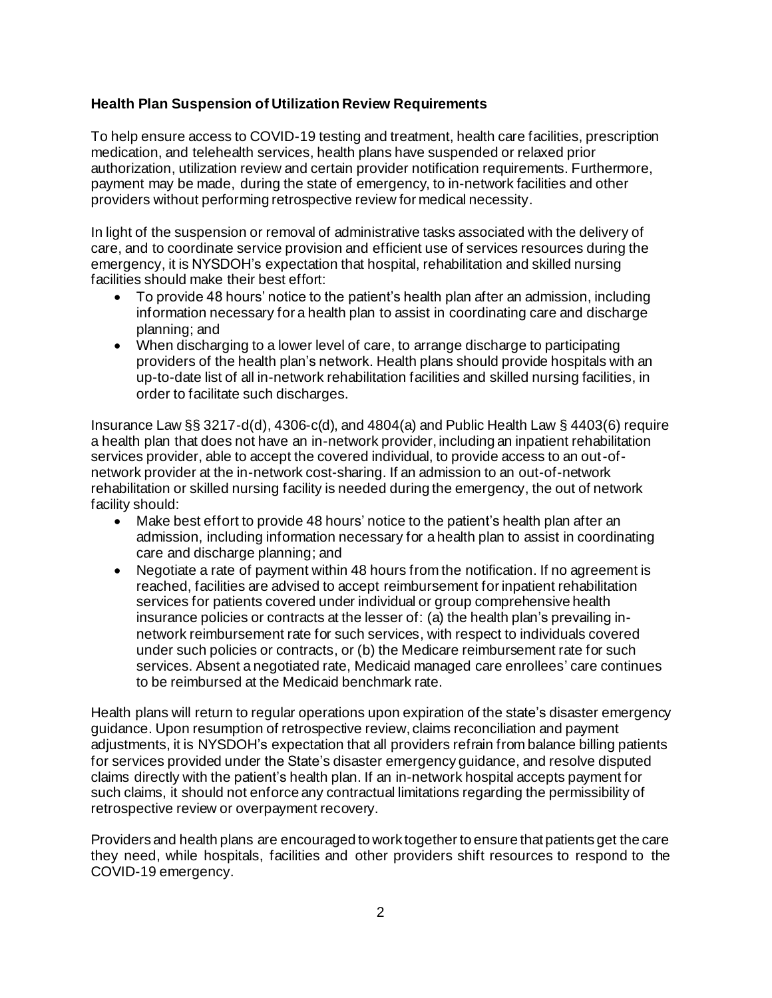# **Health Plan Suspension of Utilization Review Requirements**

To help ensure access to COVID-19 testing and treatment, health care facilities, prescription medication, and telehealth services, health plans have suspended or relaxed prior authorization, utilization review and certain provider notification requirements. Furthermore, payment may be made, during the state of emergency, to in-network facilities and other providers without performing retrospective review for medical necessity.

In light of the suspension or removal of administrative tasks associated with the delivery of care, and to coordinate service provision and efficient use of services resources during the emergency, it is NYSDOH's expectation that hospital, rehabilitation and skilled nursing facilities should make their best effort:

- To provide 48 hours' notice to the patient's health plan after an admission, including information necessary for a health plan to assist in coordinating care and discharge planning; and
- When discharging to a lower level of care, to arrange discharge to participating providers of the health plan's network. Health plans should provide hospitals with an up-to-date list of all in-network rehabilitation facilities and skilled nursing facilities, in order to facilitate such discharges.

Insurance Law §§ 3217-d(d), 4306-c(d), and 4804(a) and Public Health Law § 4403(6) require a health plan that does not have an in-network provider, including an inpatient rehabilitation services provider, able to accept the covered individual, to provide access to an out-ofnetwork provider at the in-network cost-sharing. If an admission to an out-of-network rehabilitation or skilled nursing facility is needed during the emergency, the out of network facility should:

- Make best effort to provide 48 hours' notice to the patient's health plan after an admission, including information necessary for a health plan to assist in coordinating care and discharge planning; and
- Negotiate a rate of payment within 48 hours from the notification. If no agreement is reached, facilities are advised to accept reimbursement for inpatient rehabilitation services for patients covered under individual or group comprehensive health insurance policies or contracts at the lesser of: (a) the health plan's prevailing innetwork reimbursement rate for such services, with respect to individuals covered under such policies or contracts, or (b) the Medicare reimbursement rate for such services. Absent a negotiated rate, Medicaid managed care enrollees' care continues to be reimbursed at the Medicaid benchmark rate.

Health plans will return to regular operations upon expiration of the state's disaster emergency guidance. Upon resumption of retrospective review, claims reconciliation and payment adjustments, it is NYSDOH's expectation that all providers refrain from balance billing patients for services provided under the State's disaster emergency guidance, and resolve disputed claims directly with the patient's health plan. If an in-network hospital accepts payment for such claims, it should not enforce any contractual limitations regarding the permissibility of retrospective review or overpayment recovery.

Providers and health plans are encouraged to work together to ensure that patients get the care they need, while hospitals, facilities and other providers shift resources to respond to the COVID-19 emergency.